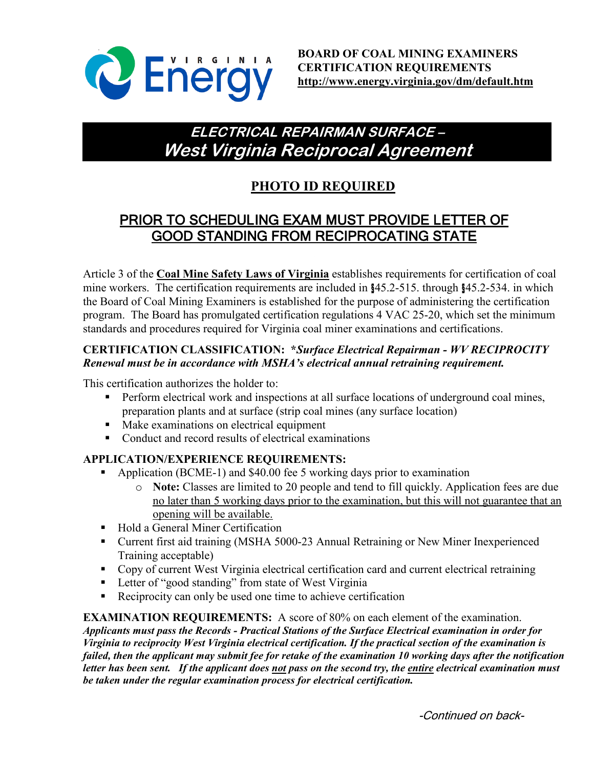

# **ELECTRICAL REPAIRMAN SURFACE – West Virginia Reciprocal Agreement**

# **PHOTO ID REQUIRED**

## PRIOR TO SCHEDULING EXAM MUST PROVIDE LETTER OF GOOD STANDING FROM RECIPROCATING STATE

Article 3 of the **Coal Mine Safety Laws of Virginia** establishes requirements for certification of coal mine workers. The certification requirements are included in §45.2-515. through §45.2-534. in which the Board of Coal Mining Examiners is established for the purpose of administering the certification program. The Board has promulgated certification regulations 4 VAC 25-20, which set the minimum standards and procedures required for Virginia coal miner examinations and certifications.

### **CERTIFICATION CLASSIFICATION: \****Surface Electrical Repairman - WV RECIPROCITY Renewal must be in accordance with MSHA's electrical annual retraining requirement.*

This certification authorizes the holder to:

- **Perform electrical work and inspections at all surface locations of underground coal mines,** preparation plants and at surface (strip coal mines (any surface location)
- Make examinations on electrical equipment
- Conduct and record results of electrical examinations

### **APPLICATION/EXPERIENCE REQUIREMENTS:**

- Application (BCME-1) and \$40.00 fee 5 working days prior to examination
	- o **Note:** Classes are limited to 20 people and tend to fill quickly. Application fees are due no later than 5 working days prior to the examination, but this will not guarantee that an opening will be available.
- Hold a General Miner Certification
- Current first aid training (MSHA 5000-23 Annual Retraining or New Miner Inexperienced Training acceptable)
- Copy of current West Virginia electrical certification card and current electrical retraining
- **Letter of "good standing" from state of West Virginia**
- Reciprocity can only be used one time to achieve certification

**EXAMINATION REQUIREMENTS:** A score of 80% on each element of the examination.

*Applicants must pass the Records - Practical Stations of the Surface Electrical examination in order for Virginia to reciprocity West Virginia electrical certification. If the practical section of the examination is failed, then the applicant may submit fee for retake of the examination 10 working days after the notification letter has been sent. If the applicant does not pass on the second try, the entire electrical examination must be taken under the regular examination process for electrical certification.*

-Continued on back-